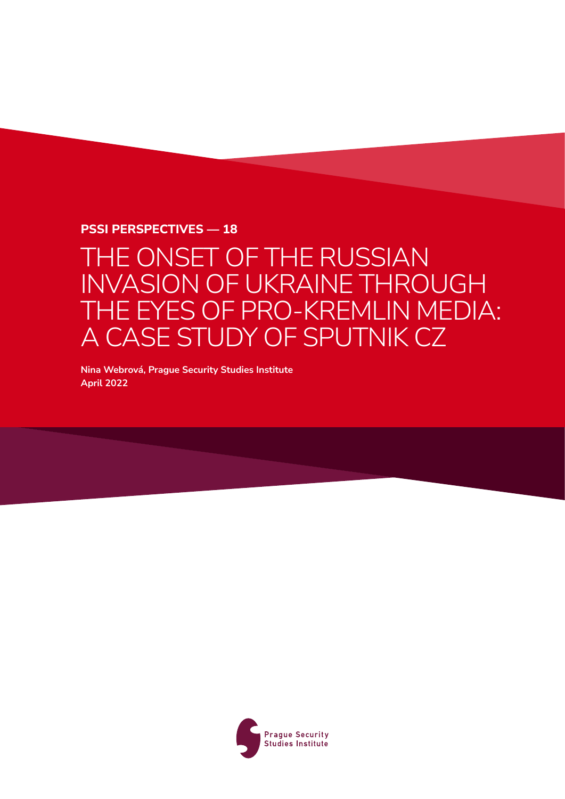### **PSSI Perspectives — 18**

## THE ONSET OF THE RUSSIAN INVASION OF UKRAINE THROUGH THE EYES OF PRO-KREMLIN MEDIA: A CASE STUDY OF SPUTNIK CZ

**Nina Webrová, Prague Security Studies Institute April 2022**

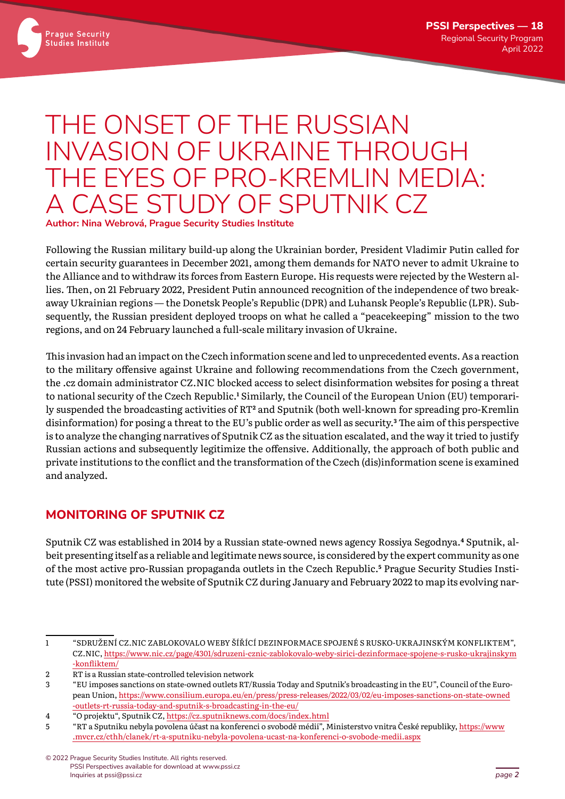

# THE ONSET OF THE RUSSIAN INVASION OF UKRAINE THROUGH THE EYES OF PRO-KREMLIN MEDIA: A CASE STUDY OF SPUTNIK CZ

**Author: Nina Webrová, Prague Security Studies Institute**

Following the Russian military build-up along the Ukrainian border, President Vladimir Putin called for certain security guarantees in December 2021, among them demands for NATO never to admit Ukraine to the Alliance and to withdraw its forces from Eastern Europe. His requests were rejected by the Western allies. Then, on 21 February 2022, President Putin announced recognition of the independence of two breakaway Ukrainian regions — the Donetsk People's Republic (DPR) and Luhansk People's Republic (LPR). Subsequently, the Russian president deployed troops on what he called a "peacekeeping" mission to the two regions, and on 24 February launched a full-scale military invasion of Ukraine.

This invasion had an impact on the Czech information scene and led to unprecedented events. As a reaction to the military offensive against Ukraine and following recommendations from the Czech government, the .cz domain administrator CZ.NIC blocked access to select disinformation websites for posing a threat to national security of the Czech Republic.<sup>1</sup> Similarly, the Council of the European Union (EU) temporarily suspended the broadcasting activities of RT**<sup>2</sup>** and Sputnik (both well-known for spreading pro-Kremlin disinformation) for posing a threat to the EU's public order as well as security.**<sup>3</sup>** The aim of this perspective is to analyze the changing narratives of Sputnik CZ as the situation escalated, and the way it tried to justify Russian actions and subsequently legitimize the offensive. Additionally, the approach of both public and private institutions to the conflict and the transformation of the Czech (dis)information scene is examined and analyzed.

## **MONITORING OF SPUTNIK CZ**

Sputnik CZ was established in 2014 by a Russian state-owned news agency Rossiya Segodnya.**4** Sputnik, albeit presenting itself as a reliable and legitimate news source, is considered by the expert community as one of the most active pro-Russian propaganda outlets in the Czech Republic.**<sup>5</sup>** Prague Security Studies Institute (PSSI) monitored the website of Sputnik CZ during January and February 2022 to map its evolving nar-

<sup>1</sup> "SDRUŽENÍ CZ.NIC ZABLOKOVALO WEBY ŠÍŘÍCÍ DEZINFORMACE SPOJENÉ S RUSKO-UKRAJINSKÝM KONFLIKTEM", CZ.NIC, [https://www.nic.cz/page/4301/sdruzeni-cznic-zablokovalo-weby-sirici-dezinformace-spojene-s-rusko-ukrajinskym](https://www.nic.cz/page/4301/sdruzeni-cznic-zablokovalo-weby-sirici-dezinformace-spojene-s-rusko-ukrajinskym-konfliktem/) [-konfliktem/](https://www.nic.cz/page/4301/sdruzeni-cznic-zablokovalo-weby-sirici-dezinformace-spojene-s-rusko-ukrajinskym-konfliktem/)

<sup>2</sup> RT is a Russian state-controlled television network

<sup>3</sup> "EU imposes sanctions on state-owned outlets RT/Russia Today and Sputnik's broadcasting in the EU", Council of the European Union, [https://www.consilium.europa.eu/en/press/press-releases/2022/03/02/eu-imposes-sanctions-on-state-owned](https://www.consilium.europa.eu/en/press/press-releases/2022/03/02/eu-imposes-sanctions-on-state-owned-outlets-rt-russia-today-and-sputnik-s-broadcasting-in-the-eu/) [-outlets-rt-russia-today-and-sputnik-s-broadcasting-in-the-eu/](https://www.consilium.europa.eu/en/press/press-releases/2022/03/02/eu-imposes-sanctions-on-state-owned-outlets-rt-russia-today-and-sputnik-s-broadcasting-in-the-eu/)

<sup>4</sup> "O projektu", Sputnik CZ,<https://cz.sputniknews.com/docs/index.html>

<sup>5</sup> "RT a Sputniku nebyla povolena účast na konferenci o svobodě médií", Ministerstvo vnitra České republiky, [https://www](https://www.mvcr.cz/cthh/clanek/rt-a-sputniku-nebyla-povolena-ucast-na-konferenci-o-svobode-medii.aspx) [.mvcr.cz/cthh/clanek/rt-a-sputniku-nebyla-povolena-ucast-na-konferenci-o-svobode-medii.aspx](https://www.mvcr.cz/cthh/clanek/rt-a-sputniku-nebyla-povolena-ucast-na-konferenci-o-svobode-medii.aspx)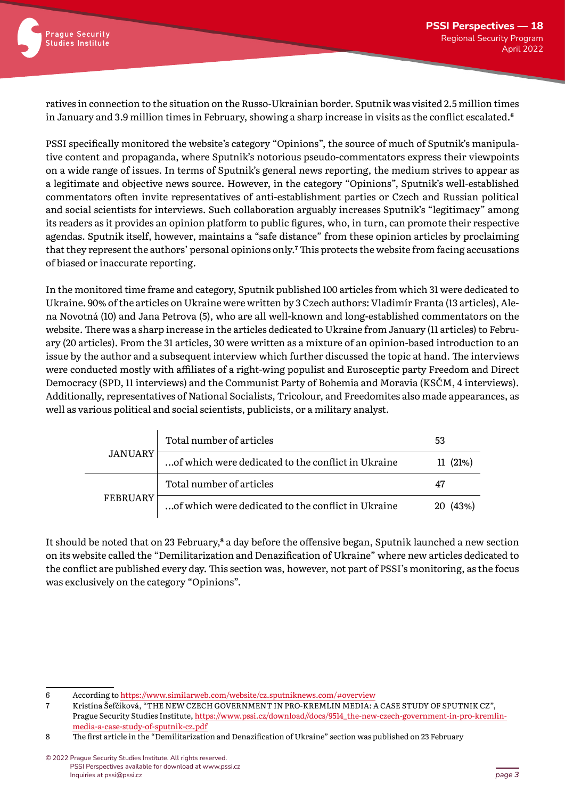ratives in connection to the situation on the Russo-Ukrainian border. Sputnik was visited 2.5 million times in January and 3.9 million times in February, showing a sharp increase in visits as the conflict escalated.**<sup>6</sup>**

PSSI specifically monitored the website's category "Opinions", the source of much of Sputnik's manipulative content and propaganda, where Sputnik's notorious pseudo-commentators express their viewpoints on a wide range of issues. In terms of Sputnik's general news reporting, the medium strives to appear as a legitimate and objective news source. However, in the category "Opinions", Sputnik's well-established commentators often invite representatives of anti-establishment parties or Czech and Russian political and social scientists for interviews. Such collaboration arguably increases Sputnik's "legitimacy" among its readers as it provides an opinion platform to public figures, who, in turn, can promote their respective agendas. Sputnik itself, however, maintains a "safe distance" from these opinion articles by proclaiming that they represent the authors' personal opinions only.**<sup>7</sup>** This protects the website from facing accusations of biased or inaccurate reporting.

In the monitored time frame and category, Sputnik published 100 articles from which 31 were dedicated to Ukraine. 90% of the articles on Ukraine were written by 3 Czech authors: Vladimír Franta (13 articles), Alena Novotná (10) and Jana Petrova (5), who are all well-known and long-established commentators on the website. There was a sharp increase in the articles dedicated to Ukraine from January (11 articles) to February (20 articles). From the 31 articles, 30 were written as a mixture of an opinion-based introduction to an issue by the author and a subsequent interview which further discussed the topic at hand. The interviews were conducted mostly with affiliates of a right-wing populist and Eurosceptic party Freedom and Direct Democracy (SPD, 11 interviews) and the Communist Party of Bohemia and Moravia (KSČM, 4 interviews). Additionally, representatives of National Socialists, Tricolour, and Freedomites also made appearances, as well as various political and social scientists, publicists, or a military analyst.

| JANUARY         | Total number of articles                           | 53      |
|-----------------|----------------------------------------------------|---------|
|                 | of which were dedicated to the conflict in Ukraine | 11(21%) |
| <b>FEBRUARY</b> | Total number of articles                           |         |
|                 | of which were dedicated to the conflict in Ukraine | (43%)   |

It should be noted that on 23 February,**8** a day before the offensive began, Sputnik launched a new section on its website called the "Demilitarization and Denazification of Ukraine" where new articles dedicated to the conflict are published every day. This section was, however, not part of PSSI's monitoring, as the focus was exclusively on the category "Opinions".

<sup>6</sup> According to https:/[/www.similarweb.com/website/cz.sputniknews.com/#overview](https://www.similarweb.com/website/cz.sputniknews.com/#overview)

<sup>7</sup> Kristína Šefčíková, "THE NEW CZECH GOVERNMENT IN PRO‐KREMLIN MEDIA: A CASE STUDY OF SPUTNIK CZ", Prague Security Studies Institute, [https://www.pssi.cz/download//docs/9514\\_the-new-czech-government-in-pro-kremlin](https://www.pssi.cz/download//docs/9514_the-new-czech-government-in-pro-kremlin-media-a-case-study-of-sputnik-cz.pdf)media-[a-case-study-of-sputnik-cz.pdf](https://www.pssi.cz/download//docs/9514_the-new-czech-government-in-pro-kremlin-media-a-case-study-of-sputnik-cz.pdf)

<sup>8</sup> The first article in the "Demilitarization and Denazification of Ukraine" section was published on 23 February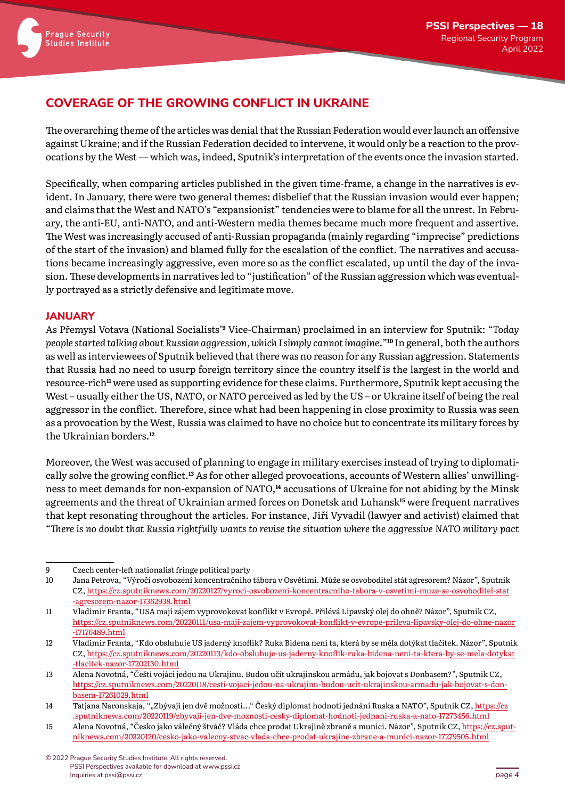## **COVERAGE OF THE GROWING CONFLICT IN UKRAINE**

The overarching theme of the articles was denial that the Russian Federation would ever launch an offensive against Ukraine; and if the Russian Federation decided to intervene, it would only be a reaction to the provocations by the West — which was, indeed, Sputnik's interpretation of the events once the invasion started.

Specifically, when comparing articles published in the given time-frame, a change in the narratives is evident. In January, there were two general themes: disbelief that the Russian invasion would ever happen; and claims that the West and NATO's "expansionist" tendencies were to blame for all the unrest. In February, the anti-EU, anti-NATO, and anti-Western media themes became much more frequent and assertive. The West was increasingly accused of anti-Russian propaganda (mainly regarding "imprecise" predictions of the start of the invasion) and blamed fully for the escalation of the conflict. The narratives and accusations became increasingly aggressive, even more so as the conflict escalated, up until the day of the invasion. These developments in narratives led to "justification" of the Russian aggression which was eventually portrayed as a strictly defensive and legitimate move.

#### **JANUARY**

As Přemysl Votava (National Socialists'**9** Vice-Chairman) proclaimed in an interview for Sputnik: "*Today people started talking about Russian aggression, which I simply cannot imagine.*"**10** In general, both the authors as well as interviewees of Sputnik believed that there was no reason for any Russian aggression. Statements that Russia had no need to usurp foreign territory since the country itself is the largest in the world and resource-rich**11** were used as supporting evidence for these claims. Furthermore, Sputnik kept accusing the West – usually either the US, NATO, or NATO perceived as led by the US – or Ukraine itself of being the real aggressor in the conflict. Therefore, since what had been happening in close proximity to Russia was seen as a provocation by the West, Russia was claimed to have no choice but to concentrate its military forces by the Ukrainian borders.**<sup>12</sup>**

Moreover, the West was accused of planning to engage in military exercises instead of trying to diplomatically solve the growing conflict.**13** As for other alleged provocations, accounts of Western allies' unwillingness to meet demands for non-expansion of NATO,**14** accusations of Ukraine for not abiding by the Minsk agreements and the threat of Ukrainian armed forces on Donetsk and Luhansk**15** were frequent narratives that kept resonating throughout the articles. For instance, Jiří Vyvadil (lawyer and activist) claimed that "*There is no doubt that Russia rightfully wants to revise the situation where the aggressive NATO military pact* 

<sup>9</sup> Czech center-left nationalist fringe political party

<sup>10</sup> Jana Petrova, "Výročí osvobození koncentračního tábora v Osvětimi. Může se osvoboditel stát agresorem? Názor", Sputnik CZ, [https://cz.sputniknews.com/20220127/vyroci-osvobozeni-koncentracniho-tabora-v-osvetimi-muze-se-osvoboditel-stat](https://cz.sputniknews.com/20220127/vyroci-osvobozeni-koncentracniho-tabora-v-osvetimi-muze-se-osvoboditel-stat-agresorem-nazor-17362938.html) [-agresorem-nazor-17362938.html](https://cz.sputniknews.com/20220127/vyroci-osvobozeni-koncentracniho-tabora-v-osvetimi-muze-se-osvoboditel-stat-agresorem-nazor-17362938.html)

<sup>11</sup> Vladimír Franta, "USA mají zájem vyprovokovat konflikt v Evropě. Přilévá Lipavský olej do ohně? Názor", Sputnik CZ, [https://cz.sputniknews.com/20220111/usa-maji-zajem-vyprovokovat-konflikt-v-evrope-prileva-lipavsky-olej-do-ohne-nazor](https://cz.sputniknews.com/20220111/usa-maji-zajem-vyprovokovat-konflikt-v-evrope-prileva-lipavsky-olej-do-ohne-nazor-17176489.html) [-17176489.html](https://cz.sputniknews.com/20220111/usa-maji-zajem-vyprovokovat-konflikt-v-evrope-prileva-lipavsky-olej-do-ohne-nazor-17176489.html)

<sup>12</sup> Vladimír Franta, "Kdo obsluhuje US jaderný knoflík? Ruka Bidena není ta, která by se měla dotýkat tlačítek. Názor", Sputnik CZ, [https://cz.sputniknews.com/20220113/kdo-obsluhuje-us-jaderny-knoflik-ruka-bidena-neni](https://cz.sputniknews.com/20220113/kdo-obsluhuje-us-jaderny-knoflik-ruka-bidena-neni-ta-ktera-by-se-mela-dotykat-tlacitek-nazor-17202130.html)-ta-ktera-by-se-mela-dotykat [-tlacitek-nazor-17202130.html](https://cz.sputniknews.com/20220113/kdo-obsluhuje-us-jaderny-knoflik-ruka-bidena-neni-ta-ktera-by-se-mela-dotykat-tlacitek-nazor-17202130.html)

<sup>13</sup> Alena Novotná, "Čeští vojáci jedou na Ukrajinu. Budou učit ukrajinskou armádu, jak bojovat s Donbasem?", Sputnik CZ, https://cz.sputniknews.com/20220118/cesti-vojaci-jedou-na-[ukrajinu-budou-ucit-ukrajinskou-armadu-jak-bojovat-s-don](https://cz.sputniknews.com/20220118/cesti-vojaci-jedou-na-ukrajinu-budou-ucit-ukrajinskou-armadu-jak-bojovat-s-donbasem-17261029.html)[basem-17261029.](https://cz.sputniknews.com/20220118/cesti-vojaci-jedou-na-ukrajinu-budou-ucit-ukrajinskou-armadu-jak-bojovat-s-donbasem-17261029.html)html

<sup>14</sup> Tatjana Naronskaja, ""Zbývají jen dvě možnosti..." Český diplomat hodnotí jednání Ruska a NATO", Sputnik CZ, [https://cz](https://cz.sputniknews.com/20220119/zbyvaji-jen-dve-moznosti-cesky-diplomat-hodnoti-jednani-ruska-a-nato-17273456.html) [.sputniknews.com/20220119/zbyvaji-jen-dve-moznosti-cesky-diplomat-hodnoti-jednani-ruska-a-nato-17273456.html](https://cz.sputniknews.com/20220119/zbyvaji-jen-dve-moznosti-cesky-diplomat-hodnoti-jednani-ruska-a-nato-17273456.html)

<sup>15</sup> Alena Novotná, "Česko jako válečný štváč? Vláda chce prodat Ukrajině zbraně a munici. Názor", Sputnik CZ, [https://cz.sput](https://cz.sputniknews.com/20220120/cesko-jako-valecny-stvac-vlada-chce-prodat-ukrajine-zbrane-a-munici-nazor-17279505.html)[niknews.com/20220120/cesko-jako-valecny-stvac-vlada-chce](https://cz.sputniknews.com/20220120/cesko-jako-valecny-stvac-vlada-chce-prodat-ukrajine-zbrane-a-munici-nazor-17279505.html)-prodat-ukrajine-zbrane-a-munici-nazor-17279505.html

<sup>©</sup>2022 Prague Security Studies Institute. All rights reserved. PSSI Perspectives available for download at www.pssi.cz Inquiries at pssi@pssi.cz *page 4*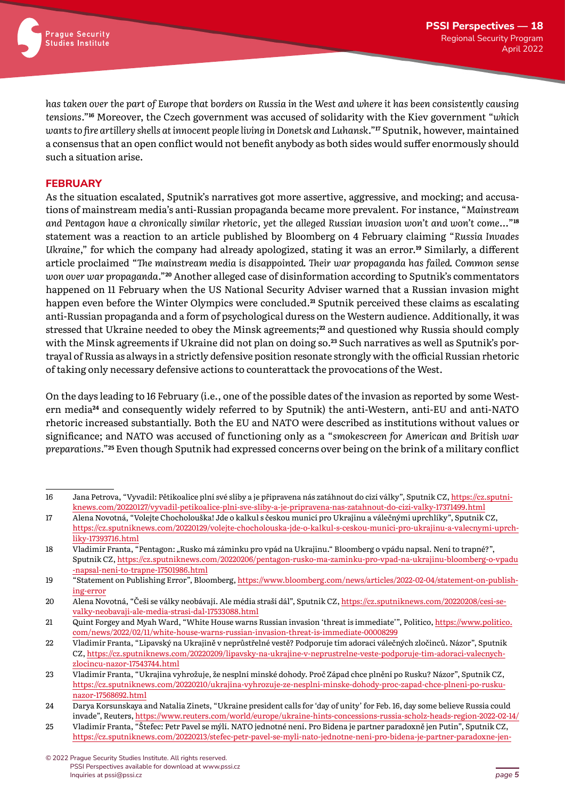

*has taken over the part of Europe that borders on Russia in the West and where it has been consistently causing tensions*."**16** Moreover, the Czech government was accused of solidarity with the Kiev government "*which wants to fire artillery shells at innocent people living in Donetsk and Luhansk*."**17** Sputnik, however, maintained a consensus that an open conflict would not benefit anybody as both sides would suffer enormously should such a situation arise.

#### **FEBRUARY**

As the situation escalated, Sputnik's narratives got more assertive, aggressive, and mocking; and accusations of mainstream media's anti-Russian propaganda became more prevalent. For instance, "*Mainstream and Pentagon have a chronically similar rhetoric, yet the alleged Russian invasion won't and won't come...*"**<sup>18</sup>** statement was a reaction to an article published by Bloomberg on 4 February claiming "*Russia Invades Ukraine*," for which the company had already apologized, stating it was an error.**19** Similarly, a different article proclaimed "*The mainstream media is disappointed. Their war propaganda has failed. Common sense won over war propaganda*."**20** Another alleged case of disinformation according to Sputnik's commentators happened on 11 February when the US National Security Adviser warned that a Russian invasion might happen even before the Winter Olympics were concluded.**21** Sputnik perceived these claims as escalating anti-Russian propaganda and a form of psychological duress on the Western audience. Additionally, it was stressed that Ukraine needed to obey the Minsk agreements;**22** and questioned why Russia should comply with the Minsk agreements if Ukraine did not plan on doing so.**23** Such narratives as well as Sputnik's portrayal of Russia as always in a strictly defensive position resonate strongly with the official Russian rhetoric of taking only necessary defensive actions to counterattack the provocations of the West.

On the days leading to 16 February (i.e., one of the possible dates of the invasion as reported by some Western media**24** and consequently widely referred to by Sputnik) the anti-Western, anti-EU and anti-NATO rhetoric increased substantially. Both the EU and NATO were described as institutions without values or significance; and NATO was accused of functioning only as a "*smokescreen for American and British war preparations*."**25** Even though Sputnik had expressed concerns over being on the brink of a military conflict

<sup>16</sup> Jana Petrova, "Vyvadil: Pětikoalice plní své sliby a je připravena nás zatáhnout do cizí války", Sputnik CZ, https:[//cz.sputni](https://cz.sputniknews.com/20220127/vyvadil-petikoalice-plni-sve-sliby-a-je-pripravena-nas-zatahnout-do-cizi-valky-17371499.html)knews.com/20220127/vyvadil-petikoalice-plni-sve-sliby-a[-je-pripravena-nas-zatahnout-do-cizi-valky-17371499.html](https://cz.sputniknews.com/20220127/vyvadil-petikoalice-plni-sve-sliby-a-je-pripravena-nas-zatahnout-do-cizi-valky-17371499.html)

<sup>17</sup> Alena Novotná, "Volejte Chocholouška! Jde o kalkul s českou municí pro Ukrajinu a válečnými uprchlíky", Sputnik CZ, [https://cz.sputniknews.com/20220129/volejte-chocholouska-jde-o-kalkul](https://cz.sputniknews.com/20220129/volejte-chocholouska-jde-o-kalkul-s-ceskou-munici-pro-ukrajinu-a-valecnymi-uprchliky-17393716.html)-s-ceskou-munici-pro-ukrajinu-a-valecnymi-uprch[liky-17393716.html](https://cz.sputniknews.com/20220129/volejte-chocholouska-jde-o-kalkul-s-ceskou-munici-pro-ukrajinu-a-valecnymi-uprchliky-17393716.html)

<sup>18</sup> Vladimír Franta, "Pentagon: "Rusko má záminku pro vpád na Ukrajinu." Bloomberg o vpádu napsal. Není to trapné?", Sputnik CZ, [https://cz.sputniknews.com/20220206/pentagon-rusko-ma-zaminku-pro-vpad-na-ukrajinu-bloomberg-o-vpadu](https://cz.sputniknews.com/20220206/pentagon-rusko-ma-zaminku-pro-vpad-na-ukrajinu-bloomberg-o-vpadu-napsal-neni-to-trapne-17501986.html) -napsal-neni[-to-trapne-17501986.html](https://cz.sputniknews.com/20220206/pentagon-rusko-ma-zaminku-pro-vpad-na-ukrajinu-bloomberg-o-vpadu-napsal-neni-to-trapne-17501986.html)

<sup>19</sup> "Statement on Publishing Error", Bloomberg, [https://www.bloomberg.com/news/articles/2022-02-04/statement-on-publish](https://www.bloomberg.com/news/articles/2022-02-04/statement-on-publishing-error)[ing-error](https://www.bloomberg.com/news/articles/2022-02-04/statement-on-publishing-error)

<sup>20</sup> Alena Novotná, "Češi se války neobávají. Ale média straší dál", Sputnik CZ, https:[//cz.sputniknews.com/20220208/cesi-se](https://cz.sputniknews.com/20220208/cesi-se-valky-neobavaji-ale-media-strasi-dal-17533088.html)[valky-neobavaji-ale-media](https://cz.sputniknews.com/20220208/cesi-se-valky-neobavaji-ale-media-strasi-dal-17533088.html)-strasi-dal-17533088.html

<sup>21</sup> [Quint Fo](https://www.politico.com/staff/quint-forgey)rgey and Myah Ward, "White House warns Russian invasion 'threat is immediate'", Politico, [https://www.politico.](https://www.politico.com/news/2022/02/11/white-house-warns-russian-invasion-threat-is-immediate-00008299) com/news[/2022/02/11/white-house-warns-russian-invasion-threat-is-immediate-00008299](https://www.politico.com/news/2022/02/11/white-house-warns-russian-invasion-threat-is-immediate-00008299)

<sup>22</sup> Vladimír Franta, "Lipavský na Ukrajině v neprůstřelné vestě? Podporuje tím adoraci válečných zločinců. Názor", Sputnik CZ, https:[//cz.sputniknews.com/20220209/lipavsky-na-ukrajine-v-neprustrelne-veste-podporuje-tim-adoraci-valecnych](https://cz.sputniknews.com/20220209/lipavsky-na-ukrajine-v-neprustrelne-veste-podporuje-tim-adoraci-valecnych-zlocincu-nazor-17543744.html)[zlocincu-nazor-17543744.html](https://cz.sputniknews.com/20220209/lipavsky-na-ukrajine-v-neprustrelne-veste-podporuje-tim-adoraci-valecnych-zlocincu-nazor-17543744.html)

<sup>23</sup> Vladimír Franta, "Ukrajina vyhrožuje, že nesplní minské dohody. Proč Západ chce plnění po Rusku? Názor", Sputnik CZ, [https://cz.sputniknews.com/20220210/ukrajina-vyhrozuje-ze-nesplni-minske-dohody-proc-zapad-chce-plneni-po-rusku](https://cz.sputniknews.com/20220210/ukrajina-vyhrozuje-ze-nesplni-minske-dohody-proc-zapad-chce-plneni-po-rusku-nazor-17568692.html)[nazor-17568692.html](https://cz.sputniknews.com/20220210/ukrajina-vyhrozuje-ze-nesplni-minske-dohody-proc-zapad-chce-plneni-po-rusku-nazor-17568692.html)

<sup>24</sup> [Darya Korsunskaya](https://www.reuters.com/authors/darya-korsunskaya/) and [Natalia Zinets,](https://www.reuters.com/authors/natalia-zinets/) "Ukraine president calls for 'day of unity' for Feb. 16, day some believe Russia could invade", Reuters, <https://www.reuters.com/world/europe/ukraine-hints-concessions-russia-scholz-heads-region-2022-02-14/>

<sup>25</sup> Vladimír Franta, "Štefec: Petr Pavel se mýlí. NATO jednotné není. Pro Bidena je partner paradoxně jen Putin", Sputnik CZ, [https://cz.sputniknews.com/20220213/stefec-petr-pavel-se-myli-nato-jednotne-neni-pro-bidena-je-partner-paradoxne-](https://cz.sputniknews.com/20220213/stefec-petr-pavel-se-myli-nato-jednotne-neni-pro-bidena-je-partner-paradoxne-jen-putin-17604108.html)jen-

<sup>©</sup>2022 Prague Security Studies Institute. All rights reserved. PSSI Perspectives available for download at www.pssi.cz Inquiries at pssi@pssi.cz *page 5*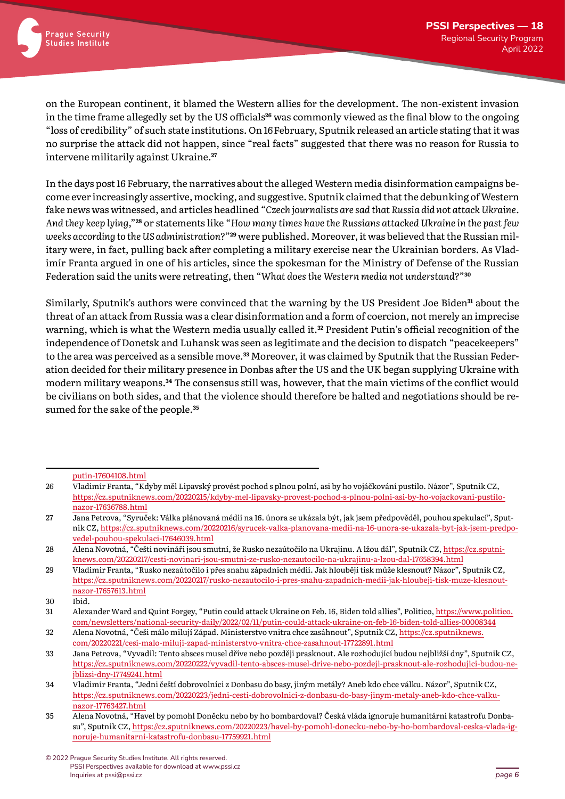on the European continent, it blamed the Western allies for the development. The non-existent invasion in the time frame allegedly set by the US officials**26** was commonly viewed as the final blow to the ongoing "loss of credibility" of such state institutions. On 16February, Sputnik released an article stating that it was no surprise the attack did not happen, since "real facts" suggested that there was no reason for Russia to intervene militarily against Ukraine.**<sup>27</sup>**

In the days post 16 February, the narratives about the alleged Western media disinformation campaigns become ever increasingly assertive, mocking, and suggestive. Sputnik claimed that the debunking of Western fake news was witnessed, and articles headlined "*Czech journalists are sad that Russia did not attack Ukraine. And they keep lying*,"**28** or statements like "*How many times have the Russians attacked Ukraine in the past few weeks according to the US administration?*"**29** were published. Moreover, it was believed that the Russian military were, in fact, pulling back after completing a military exercise near the Ukrainian borders. As Vladimír Franta argued in one of his articles, since the spokesman for the Ministry of Defense of the Russian Federation said the units were retreating, then "*What does the Western media not understand?*"**<sup>30</sup>**

Similarly, Sputnik's authors were convinced that the warning by the US President Joe Biden**31** about the threat of an attack from Russia was a clear disinformation and a form of coercion, not merely an imprecise warning, which is what the Western media usually called it.**32** President Putin's official recognition of the independence of Donetsk and Luhansk was seen as legitimate and the decision to dispatch "peacekeepers" to the area was perceived as a sensible move.**33** Moreover, it was claimed by Sputnik that the Russian Federation decided for their military presence in Donbas after the US and the UK began supplying Ukraine with modern military weapons.**34** The consensus still was, however, that the main victims of the conflict would be civilians on both sides, and that the violence should therefore be halted and negotiations should be resumed for the sake of the people.**<sup>35</sup>**

[putin-17604108.html](https://cz.sputniknews.com/20220213/stefec-petr-pavel-se-myli-nato-jednotne-neni-pro-bidena-je-partner-paradoxne-jen-putin-17604108.html)

<sup>26</sup> Vladimír Franta, "Kdyby měl Lipavský provést pochod s plnou polní, asi by ho vojáčkování pustilo. Názor", Sputnik CZ, https://cz.sputniknews.com/20220215/[kdyby-mel-lipavsky-provest-pochod-s-plnou-polni-asi-by-ho-vojackovani-pustilo](https://cz.sputniknews.com/20220215/kdyby-mel-lipavsky-provest-pochod-s-plnou-polni-asi-by-ho-vojackovani-pustilo-nazor-17636788.html)[nazor-17636788.html](https://cz.sputniknews.com/20220215/kdyby-mel-lipavsky-provest-pochod-s-plnou-polni-asi-by-ho-vojackovani-pustilo-nazor-17636788.html)

<sup>27</sup> Jana Petrova, "Syruček: Válka plánovaná médii na 16. února se ukázala být, jak jsem předpověděl, pouhou spekulací", Sputnik CZ, https://cz.sputniknews.[com/20220216/syrucek-valka-planovana-medii-na-16-unora-se-](https://cz.sputniknews.com/20220216/syrucek-valka-planovana-medii-na-16-unora-se-ukazala-byt-jak-jsem-predpovedel-pouhou-spekulaci-17646039.html)ukazala-byt-jak-jsem-predpo[vedel-pouhou-spekulaci-17646039.html](https://cz.sputniknews.com/20220216/syrucek-valka-planovana-medii-na-16-unora-se-ukazala-byt-jak-jsem-predpovedel-pouhou-spekulaci-17646039.html)

<sup>28</sup> Alena Novotná, "Čeští novináři jsou smutní, že Rusko nezaútočilo na Ukrajinu. A lžou dál", Sputnik CZ, [https://cz.sputni](https://cz.sputniknews.com/20220217/cesti-novinari-jsou-smutni-ze-rusko-nezautocilo-na-ukrajinu-a-lzou-dal-17658394.html)[knews.com/20220217/cesti-novinari-jsou-smutni-ze-rusko-nezautocilo-na-ukrajinu-a-lzou-dal-17658394.html](https://cz.sputniknews.com/20220217/cesti-novinari-jsou-smutni-ze-rusko-nezautocilo-na-ukrajinu-a-lzou-dal-17658394.html)

<sup>29</sup> Vladimír Franta, "Rusko nezaútočilo i přes snahu západních médií. Jak hlouběji tisk může klesnout? Názor", Sputnik CZ, [https://cz.sputniknews.com/20220217/rusko-nezautocilo-i-pres-snahu-zapadnich-medii-jak-hloubeji-tisk-muze-klesnout](https://cz.sputniknews.com/20220217/rusko-nezautocilo-i-pres-snahu-zapadnich-medii-jak-hloubeji-tisk-muze-klesnout-nazor-17657613.html)[nazor-17657613.html](https://cz.sputniknews.com/20220217/rusko-nezautocilo-i-pres-snahu-zapadnich-medii-jak-hloubeji-tisk-muze-klesnout-nazor-17657613.html)

<sup>30</sup> Ibid.

<sup>31</sup> [Alexander W](https://www.politico.com/staff/alexander-ward)ard and [Quint Fo](https://www.politico.com/staff/quint-forgey)rgey, "Putin could attack Ukraine on Feb. 16, Biden told allies", Politico, [https://www.politico.](https://www.politico.com/newsletters/national-security-daily/2022/02/11/putin-could-attack-ukraine-on-feb-16-biden-told-allies-00008344) com/newsletters/national-security-daily/2022/02[/11/putin-could-attack-ukraine-on-feb-16-biden-told-allies-00008344](https://www.politico.com/newsletters/national-security-daily/2022/02/11/putin-could-attack-ukraine-on-feb-16-biden-told-allies-00008344)

<sup>32</sup> Alena Novotná, "Češi málo milují Západ. Ministerstvo vnitra chce zasáhnout", Sputnik CZ, [https://cz.sputniknews.](https://cz.sputniknews.com/20220221/cesi-malo-miluji-zapad-ministerstvo-vnitra-chce-zasahnout-17722891.html) [com/20220221/cesi-malo-miluji-zapad-ministerstvo-vnitra-chce-zasahnout-17722891.html](https://cz.sputniknews.com/20220221/cesi-malo-miluji-zapad-ministerstvo-vnitra-chce-zasahnout-17722891.html)

<sup>33</sup> Jana Petrova, "Vyvadil: Tento absces musel dříve nebo později prasknout. Ale rozhodující budou nejbližší dny", Sputnik CZ, [https://cz.sputniknews.com/20220222/vyvadil-tento-absces-musel-drive-nebo-pozdeji-prasknout-ale-rozhodujici-](https://cz.sputniknews.com/20220222/vyvadil-tento-absces-musel-drive-nebo-pozdeji-prasknout-ale-rozhodujici-budou-nejblizsi-dny-17749241.html)budou-ne[jblizsi-dny-17749241.html](https://cz.sputniknews.com/20220222/vyvadil-tento-absces-musel-drive-nebo-pozdeji-prasknout-ale-rozhodujici-budou-nejblizsi-dny-17749241.html)

<sup>34</sup> Vladimír Franta, "Jedni čeští dobrovolníci z Donbasu do basy, jiným metály? Aneb kdo chce válku. Názor", Sputnik CZ, [https://cz.sputniknews.com/20220223/jedni-cesti-dobrovolnici-z-donbasu-do-basy-jinym-metaly-](https://cz.sputniknews.com/20220223/jedni-cesti-dobrovolnici-z-donbasu-do-basy-jinym-metaly-aneb-kdo-chce-valku-nazor-17763427.html)aneb-kdo-chce-valku[nazor-17763427.html](https://cz.sputniknews.com/20220223/jedni-cesti-dobrovolnici-z-donbasu-do-basy-jinym-metaly-aneb-kdo-chce-valku-nazor-17763427.html)

<sup>35</sup> Alena Novotná, "Havel by pomohl Doněcku nebo by ho bombardoval? Česká vláda ignoruje humanitární katastrofu Donbasu", Sputnik CZ, [https://cz.sputniknews.com/20220223/havel-by-pomohl-donecku-nebo-by-ho-](https://cz.sputniknews.com/20220223/havel-by-pomohl-donecku-nebo-by-ho-bombardoval-ceska-vlada-ignoruje-humanitarni-katastrofu-donbasu-17759921.html)bombardoval-ceska-vlada-ig[noruje-humanitarni-katastrofu-donbasu-17759921.html](https://cz.sputniknews.com/20220223/havel-by-pomohl-donecku-nebo-by-ho-bombardoval-ceska-vlada-ignoruje-humanitarni-katastrofu-donbasu-17759921.html)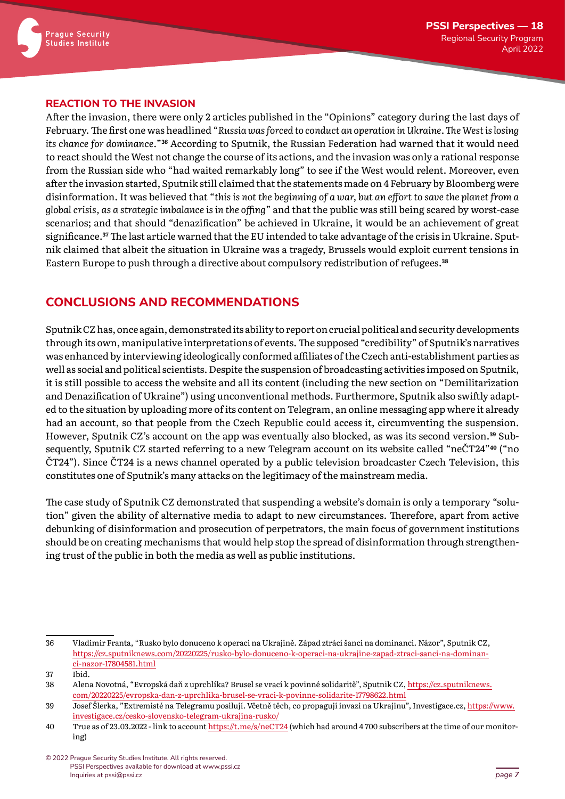

#### **REACTION TO THE INVASION**

After the invasion, there were only 2 articles published in the "Opinions" category during the last days of February. The first one was headlined "*Russia was forced to conduct an operation in Ukraine. The West is losing its chance for dominance.*"**36** According to Sputnik, the Russian Federation had warned that it would need to react should the West not change the course of its actions, and the invasion was only a rational response from the Russian side who "had waited remarkably long" to see if the West would relent. Moreover, even after the invasion started, Sputnik still claimed that the statements made on 4 February by Bloomberg were disinformation. It was believed that "*this is not the beginning of a war, but an effort to save the planet from a global crisis, as a strategic imbalance is in the offing*" and that the public was still being scared by worst-case scenarios; and that should "denazification" be achieved in Ukraine, it would be an achievement of great significance.**37** The last article warned that the EU intended to take advantage of the crisis in Ukraine. Sputnik claimed that albeit the situation in Ukraine was a tragedy, Brussels would exploit current tensions in Eastern Europe to push through a directive about compulsory redistribution of refugees.**<sup>38</sup>**

#### **CONCLUSIONS AND RECOMMENDATIONS**

Sputnik CZ has, once again, demonstrated its ability to report on crucial political and security developments through its own, manipulative interpretations of events. The supposed "credibility" of Sputnik's narratives was enhanced by interviewing ideologically conformed affiliates of the Czech anti-establishment parties as well as social and political scientists. Despite the suspension of broadcasting activities imposed on Sputnik, it is still possible to access the website and all its content (including the new section on "Demilitarization and Denazification of Ukraine") using unconventional methods. Furthermore, Sputnik also swiftly adapted to the situation by uploading more of its content on Telegram, an online messaging app where it already had an account, so that people from the Czech Republic could access it, circumventing the suspension. However, Sputnik CZ's account on the app was eventually also blocked, as was its second version.**39** Subsequently, Sputnik CZ started referring to a new Telegram account on its website called "neČT24"**40** ("no ČT24"). Since ČT24 is a news channel operated by a public television broadcaster Czech Television, this constitutes one of Sputnik's many attacks on the legitimacy of the mainstream media.

The case study of Sputnik CZ demonstrated that suspending a website's domain is only a temporary "solution" given the ability of alternative media to adapt to new circumstances. Therefore, apart from active debunking of disinformation and prosecution of perpetrators, the main focus of government institutions should be on creating mechanisms that would help stop the spread of disinformation through strengthening trust of the public in both the media as well as public institutions.

<sup>36</sup> Vladimír Franta, "Rusko bylo donuceno k operaci na Ukrajině. Západ ztrácí šanci na dominanci. Názor", Sputnik CZ, [https://cz.sputniknews.com/20220225/rusko-bylo-donuceno-k-operaci-na-ukrajine-zapad-ztraci-sanci-na-dominan](https://cz.sputniknews.com/20220225/rusko-bylo-donuceno-k-operaci-na-ukrajine-zapad-ztraci-sanci-na-dominanci-nazor-17804581.html)[ci-nazor-17804581.html](https://cz.sputniknews.com/20220225/rusko-bylo-donuceno-k-operaci-na-ukrajine-zapad-ztraci-sanci-na-dominanci-nazor-17804581.html)

<sup>37</sup> Ibid.

<sup>38</sup> Alena Novotná, "Evropská daň z uprchlíka? Brusel se vrací k povinné solidaritě", Sputnik CZ, [https://cz.sputniknews.](https://cz.sputniknews.com/20220225/evropska-dan-z-uprchlika-brusel-se-vraci-k-povinne-solidarite-17798622.html) [com/20220225/evropska-dan-z-uprchlika-brusel-se-vraci-k-povinne-solidarite-17798622.html](https://cz.sputniknews.com/20220225/evropska-dan-z-uprchlika-brusel-se-vraci-k-povinne-solidarite-17798622.html)

<sup>39</sup> Josef Šlerka, "Extremisté na Telegramu posilují. Včetně těch, co propagují invazi na Ukrajinu", Investigace.cz, [https://www.](https://www.investigace.cz/cesko-slovensko-telegram-ukrajina-rusko/) [investigace.cz/cesko-slovensko-telegram-ukrajina-rusko/](https://www.investigace.cz/cesko-slovensko-telegram-ukrajina-rusko/)

<sup>40</sup> True as of 23.03.2022 - link to account<https://t.me/s/neCT24> (which had around 4 700 subscribers at the time of our monitoring)